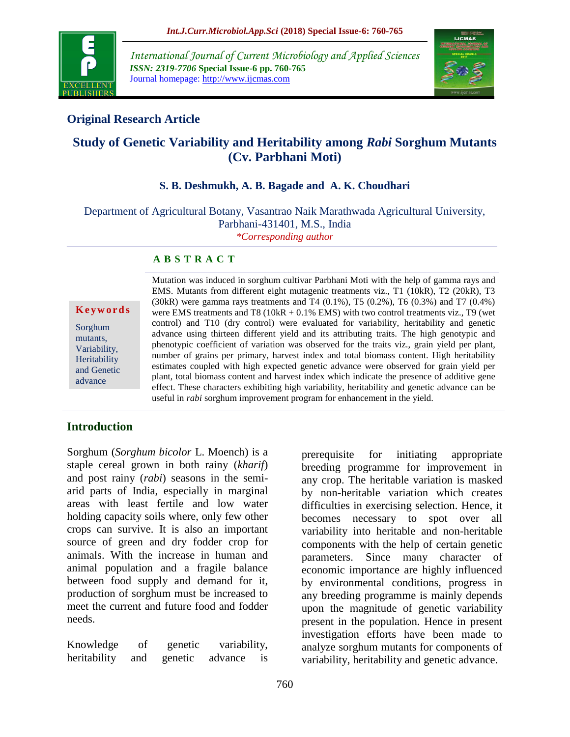

*International Journal of Current Microbiology and Applied Sciences ISSN: 2319-7706* **Special Issue-6 pp. 760-765** Journal homepage: http://www.ijcmas.com



# **Original Research Article**

# **Study of Genetic Variability and Heritability among** *Rabi* **Sorghum Mutants (Cv. Parbhani Moti)**

### **S. B. Deshmukh, A. B. Bagade and A. K. Choudhari**

Department of Agricultural Botany, Vasantrao Naik Marathwada Agricultural University, Parbhani-431401, M.S., India *\*Corresponding author*

#### **A B S T R A C T**

**K e y w o r d s**

Sorghum mutants, Variability, **Heritability** and Genetic advance

Mutation was induced in sorghum cultivar Parbhani Moti with the help of gamma rays and EMS. Mutants from different eight mutagenic treatments viz., T1 (10kR), T2 (20kR), T3  $(30k)$  were gamma rays treatments and T4  $(0.1\%)$ , T5  $(0.2\%)$ , T6  $(0.3\%)$  and T7  $(0.4\%)$ were EMS treatments and T8 ( $10kR + 0.1\%$  EMS) with two control treatments viz., T9 (wet control) and T10 (dry control) were evaluated for variability, heritability and genetic advance using thirteen different yield and its attributing traits. The high genotypic and phenotypic coefficient of variation was observed for the traits viz., grain yield per plant, number of grains per primary, harvest index and total biomass content. High heritability estimates coupled with high expected genetic advance were observed for grain yield per plant, total biomass content and harvest index which indicate the presence of additive gene effect. These characters exhibiting high variability, heritability and genetic advance can be useful in *rabi* sorghum improvement program for enhancement in the yield.

## **Introduction**

Sorghum (*Sorghum bicolor* L. Moench) is a staple cereal grown in both rainy (*kharif*) and post rainy (*rabi*) seasons in the semiarid parts of India, especially in marginal areas with least fertile and low water holding capacity soils where, only few other crops can survive. It is also an important source of green and dry fodder crop for animals. With the increase in human and animal population and a fragile balance between food supply and demand for it, production of sorghum must be increased to meet the current and future food and fodder needs.

Knowledge of genetic variability, heritability and genetic advance is prerequisite for initiating appropriate breeding programme for improvement in any crop. The heritable variation is masked by non-heritable variation which creates difficulties in exercising selection. Hence, it becomes necessary to spot over all variability into heritable and non-heritable components with the help of certain genetic parameters. Since many character of economic importance are highly influenced by environmental conditions, progress in any breeding programme is mainly depends upon the magnitude of genetic variability present in the population. Hence in present investigation efforts have been made to analyze sorghum mutants for components of variability, heritability and genetic advance.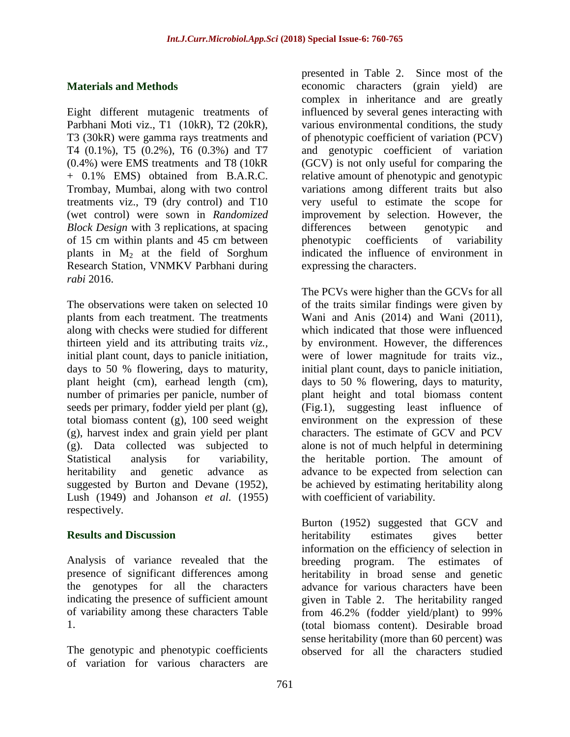#### **Materials and Methods**

Eight different mutagenic treatments of Parbhani Moti viz., T1 (10kR), T2 (20kR), T3 (30kR) were gamma rays treatments and T4 (0.1%), T5 (0.2%), T6 (0.3%) and T7 (0.4%) were EMS treatments and T8 (10kR + 0.1% EMS) obtained from B.A.R.C. Trombay, Mumbai, along with two control treatments viz., T9 (dry control) and T10 (wet control) were sown in *Randomized Block Design* with 3 replications, at spacing of 15 cm within plants and 45 cm between plants in  $M_2$  at the field of Sorghum Research Station, VNMKV Parbhani during *rabi* 2016.

The observations were taken on selected 10 plants from each treatment. The treatments along with checks were studied for different thirteen yield and its attributing traits *viz.,* initial plant count, days to panicle initiation, days to 50 % flowering, days to maturity, plant height (cm), earhead length (cm), number of primaries per panicle, number of seeds per primary, fodder yield per plant (g), total biomass content (g), 100 seed weight (g), harvest index and grain yield per plant (g). Data collected was subjected to Statistical analysis for variability, heritability and genetic advance as suggested by Burton and Devane (1952), Lush (1949) and Johanson *et al.* (1955) respectively.

#### **Results and Discussion**

Analysis of variance revealed that the presence of significant differences among the genotypes for all the characters indicating the presence of sufficient amount of variability among these characters Table 1.

The genotypic and phenotypic coefficients of variation for various characters are presented in Table 2. Since most of the economic characters (grain yield) are complex in inheritance and are greatly influenced by several genes interacting with various environmental conditions, the study of phenotypic coefficient of variation (PCV) and genotypic coefficient of variation (GCV) is not only useful for comparing the relative amount of phenotypic and genotypic variations among different traits but also very useful to estimate the scope for improvement by selection. However, the differences between genotypic and phenotypic coefficients of variability indicated the influence of environment in expressing the characters.

The PCVs were higher than the GCVs for all of the traits similar findings were given by Wani and Anis (2014) and Wani (2011), which indicated that those were influenced by environment. However, the differences were of lower magnitude for traits viz., initial plant count, days to panicle initiation, days to 50 % flowering, days to maturity, plant height and total biomass content (Fig.1), suggesting least influence of environment on the expression of these characters. The estimate of GCV and PCV alone is not of much helpful in determining the heritable portion. The amount of advance to be expected from selection can be achieved by estimating heritability along with coefficient of variability.

Burton (1952) suggested that GCV and heritability estimates gives better information on the efficiency of selection in breeding program. The estimates of heritability in broad sense and genetic advance for various characters have been given in Table 2. The heritability ranged from 46.2% (fodder yield/plant) to 99% (total biomass content). Desirable broad sense heritability (more than 60 percent) was observed for all the characters studied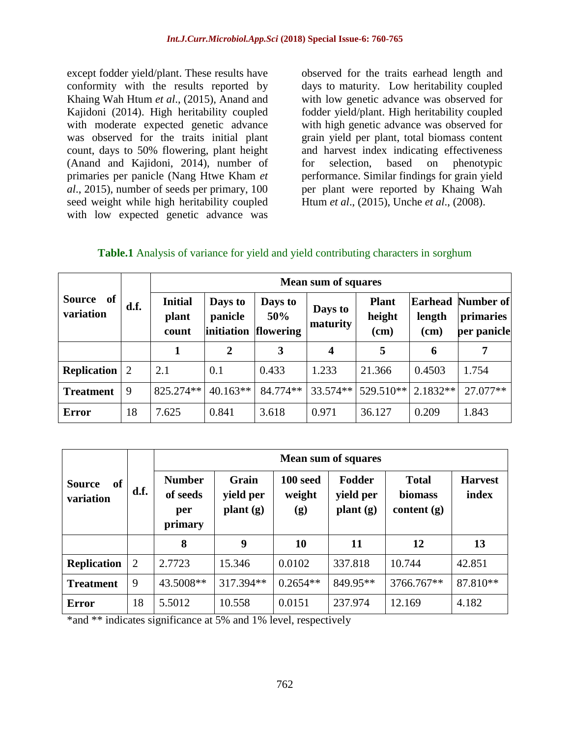except fodder yield/plant. These results have conformity with the results reported by Khaing Wah Htum *et al*., (2015), Anand and Kajidoni (2014). High heritability coupled with moderate expected genetic advance was observed for the traits initial plant count, days to 50% flowering, plant height (Anand and Kajidoni, 2014), number of primaries per panicle (Nang Htwe Kham *et al*., 2015), number of seeds per primary, 100 seed weight while high heritability coupled with low expected genetic advance was

observed for the traits earhead length and days to maturity. Low heritability coupled with low genetic advance was observed for fodder yield/plant. High heritability coupled with high genetic advance was observed for grain yield per plant, total biomass content and harvest index indicating effectiveness for selection, based on phenotypic performance. Similar findings for grain yield per plant were reported by Khaing Wah Htum *et al*., (2015), Unche *et al*., (2008).

#### **Table.1** Analysis of variance for yield and yield contributing characters in sorghum

| of<br><b>Source</b><br>variation | d.f. | <b>Mean sum of squares</b>       |                                  |                             |                         |                                  |                                  |                                       |  |
|----------------------------------|------|----------------------------------|----------------------------------|-----------------------------|-------------------------|----------------------------------|----------------------------------|---------------------------------------|--|
|                                  |      | <b>Initial</b><br>plant<br>count | Days to<br>panicle<br>initiation | Days to<br>50%<br>flowering | Days to<br>maturity     | <b>Plant</b><br>height<br>$(cm)$ | <b>Earhead</b><br>length<br>(cm) | Number of<br>primaries<br>per panicle |  |
|                                  |      |                                  | $\overline{2}$                   | 3                           | $\overline{\mathbf{4}}$ | 5                                | 6                                | 7                                     |  |
| <b>Replication</b>               | 2    | 2.1                              | 0.1                              | 0.433                       | 1.233                   | 21.366                           | 0.4503                           | 1.754                                 |  |
| <b>Treatment</b>                 | 9    | 825.274**                        | $40.163**$                       | 84.774**                    | 33.574**                | 529.510**                        | $2.1832**$                       | 27.077**                              |  |
| <b>Error</b>                     | 18   | 7.625                            | 0.841                            | 3.618                       | 0.971                   | 36.127                           | 0.209                            | 1.843                                 |  |

|                                             | d.f.           | <b>Mean sum of squares</b>                  |                                |                           |                                 |                                          |                         |  |  |
|---------------------------------------------|----------------|---------------------------------------------|--------------------------------|---------------------------|---------------------------------|------------------------------------------|-------------------------|--|--|
| <sub>of</sub><br><b>Source</b><br>variation |                | <b>Number</b><br>of seeds<br>per<br>primary | Grain<br>yield per<br>plant(g) | 100 seed<br>weight<br>(g) | Fodder<br>yield per<br>plant(g) | <b>Total</b><br>biomass<br>content $(g)$ | <b>Harvest</b><br>index |  |  |
|                                             |                | 8                                           | 9                              | <b>10</b>                 | 11                              | 12                                       | 13                      |  |  |
| <b>Replication</b>                          | $\overline{2}$ | 2.7723                                      | 15.346                         | 0.0102                    | 337.818                         | 10.744                                   | 42.851                  |  |  |
| <b>Treatment</b>                            | 9              | 43.5008**                                   | 317.394**                      | $0.2654**$                | 849.95**                        | 3766.767**                               | 87.810**                |  |  |
| <b>Error</b>                                | 18             | 5.5012                                      | 10.558                         | 0.0151                    | 237.974                         | 12.169                                   | 4.182                   |  |  |

\*and \*\* indicates significance at 5% and 1% level, respectively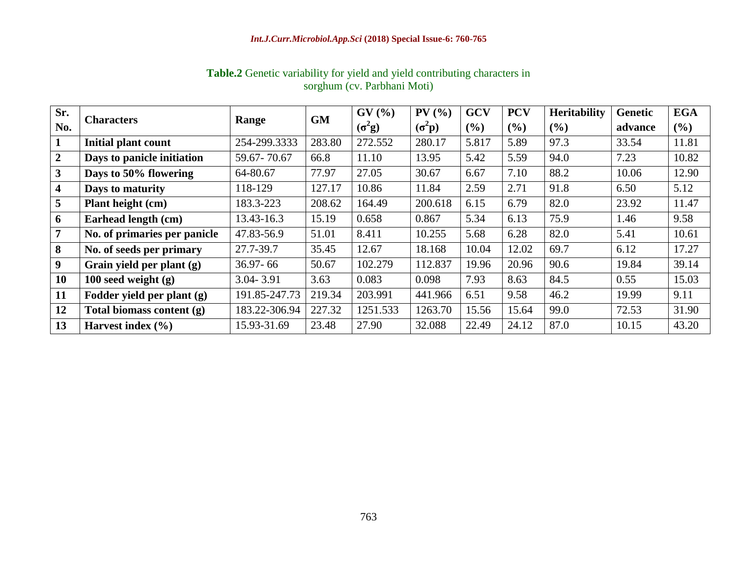| Sr.                     |                              | Range         | <b>GM</b> | GV(%)          | $PV($ %)       | <b>GCV</b> | <b>PCV</b> | <b>Heritability</b> | <b>Genetic</b> | <b>EGA</b> |
|-------------------------|------------------------------|---------------|-----------|----------------|----------------|------------|------------|---------------------|----------------|------------|
| No.                     | <b>Characters</b>            |               |           | $(\sigma^2 g)$ | $(\sigma^2 p)$ | (%)        | (%)        | $($ %)              | advance        | $($ %)     |
| $\mathbf{1}$            | <b>Initial plant count</b>   | 254-299.3333  | 283.80    | 272.552        | 280.17         | 5.817      | 5.89       | 97.3                | 33.54          | 11.81      |
| $\overline{2}$          | Days to panicle initiation   | 59.67-70.67   | 66.8      | 11.10          | 13.95          | 5.42       | 5.59       | 94.0                | 7.23           | 10.82      |
| $\mathbf{3}$            | Days to 50% flowering        | 64-80.67      | 77.97     | 27.05          | 30.67          | 6.67       | 7.10       | 88.2                | 10.06          | 12.90      |
| $\overline{\mathbf{4}}$ | Days to maturity             | 118-129       | 127.17    | 10.86          | 11.84          | 2.59       | 2.71       | 91.8                | 6.50           | 5.12       |
| $5\overline{)}$         | <b>Plant height (cm)</b>     | 183.3-223     | 208.62    | 164.49         | 200.618        | 6.15       | 6.79       | 82.0                | 23.92          | 11.47      |
| 6                       | Earhead length (cm)          | 13.43-16.3    | 15.19     | 0.658          | 0.867          | 5.34       | 6.13       | 75.9                | 1.46           | 9.58       |
| $\overline{7}$          | No. of primaries per panicle | 47.83-56.9    | 51.01     | 8.411          | 10.255         | 5.68       | 6.28       | 82.0                | 5.41           | 10.61      |
| 8                       | No. of seeds per primary     | 27.7-39.7     | 35.45     | 12.67          | 18.168         | 10.04      | 12.02      | 69.7                | 6.12           | 17.27      |
| 9 <sup>°</sup>          | Grain yield per plant (g)    | $36.97 - 66$  | 50.67     | 102.279        | 112.837        | 19.96      | 20.96      | 90.6                | 19.84          | 39.14      |
| <b>10</b>               | 100 seed weight $(g)$        | $3.04 - 3.91$ | 3.63      | 0.083          | 0.098          | 7.93       | 8.63       | 84.5                | 0.55           | 15.03      |
| 11                      | Fodder yield per plant (g)   | 191.85-247.73 | 219.34    | 203.991        | 441.966        | 6.51       | 9.58       | 46.2                | 19.99          | 9.11       |
| 12                      | Total biomass content (g)    | 183.22-306.94 | 227.32    | 1251.533       | 1263.70        | 15.56      | 15.64      | 99.0                | 72.53          | 31.90      |
| 13                      | Harvest index $(\% )$        | 15.93-31.69   | 23.48     | 27.90          | 32.088         | 22.49      | 24.12      | 87.0                | 10.15          | 43.20      |

# **Table.2** Genetic variability for yield and yield contributing characters in sorghum (cv. Parbhani Moti)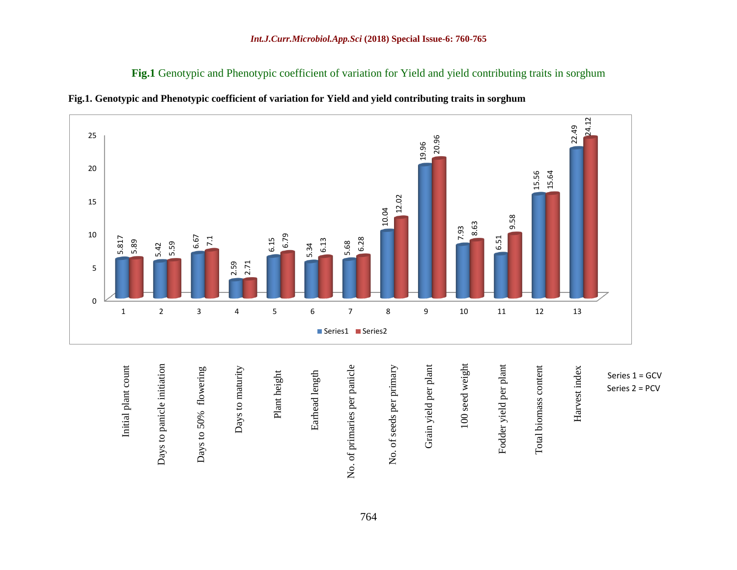